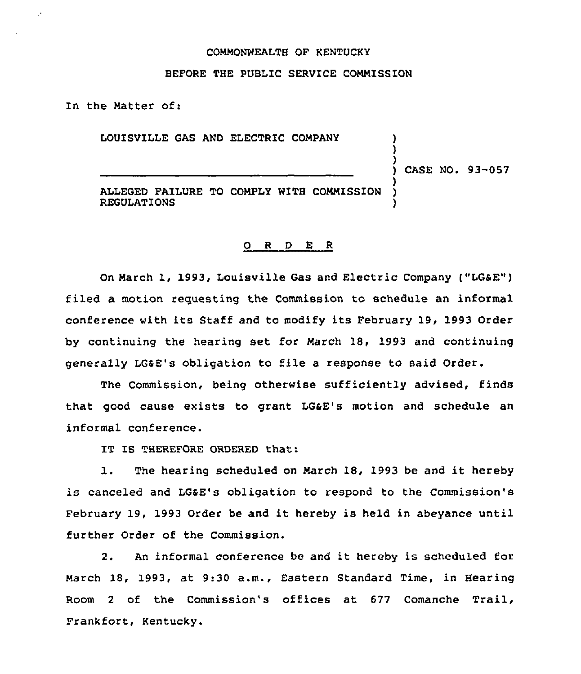## COMMONWEALTH OF KENTUCKY

## BEFORE THE PUBLIC SERVICE COMMISSION

In the Matter of:

LOUISVILLE GAS AND ELECTRIC COMPANY

) CASE NO. 93-057

) )

)

ALLEGED FAILURE TO COMPLY WITH COMMISSION REGULATIONS )

## 0 <sup>R</sup> <sup>D</sup> E <sup>R</sup>

On March 1, 1993, Louisville Gas and Electric Company ("LG&E") filed a motion requesting the Commission to schedule an informal conference with its Staff and to modify its February 19, 1993 Order by continuing the hearing set for March 18, 1993 and continuing generally LGaE's obligation to file a response to said Order.

The Commission, being otherwise sufficiently advised, finds that good cause exists to grant LGaE's motion and schedule an informal conference.

IT IS THEREFORE ORDERED that:

1. The hearing scheduled on March 18, <sup>1993</sup> be and it hereby is canceled and LGSE's obligation to respond to the Commission's February 19, 1993 Order be and it hereby is held in abeyance until further Order of the Commission.

2. An informal conference be and it hereby is scheduled for March 18, 1993, at 9:30 a.m., Eastern Standard Time, in Hearing Room <sup>2</sup> of the Commission's offices at 677 Comanche Trail, Frankfort, Kentucky.